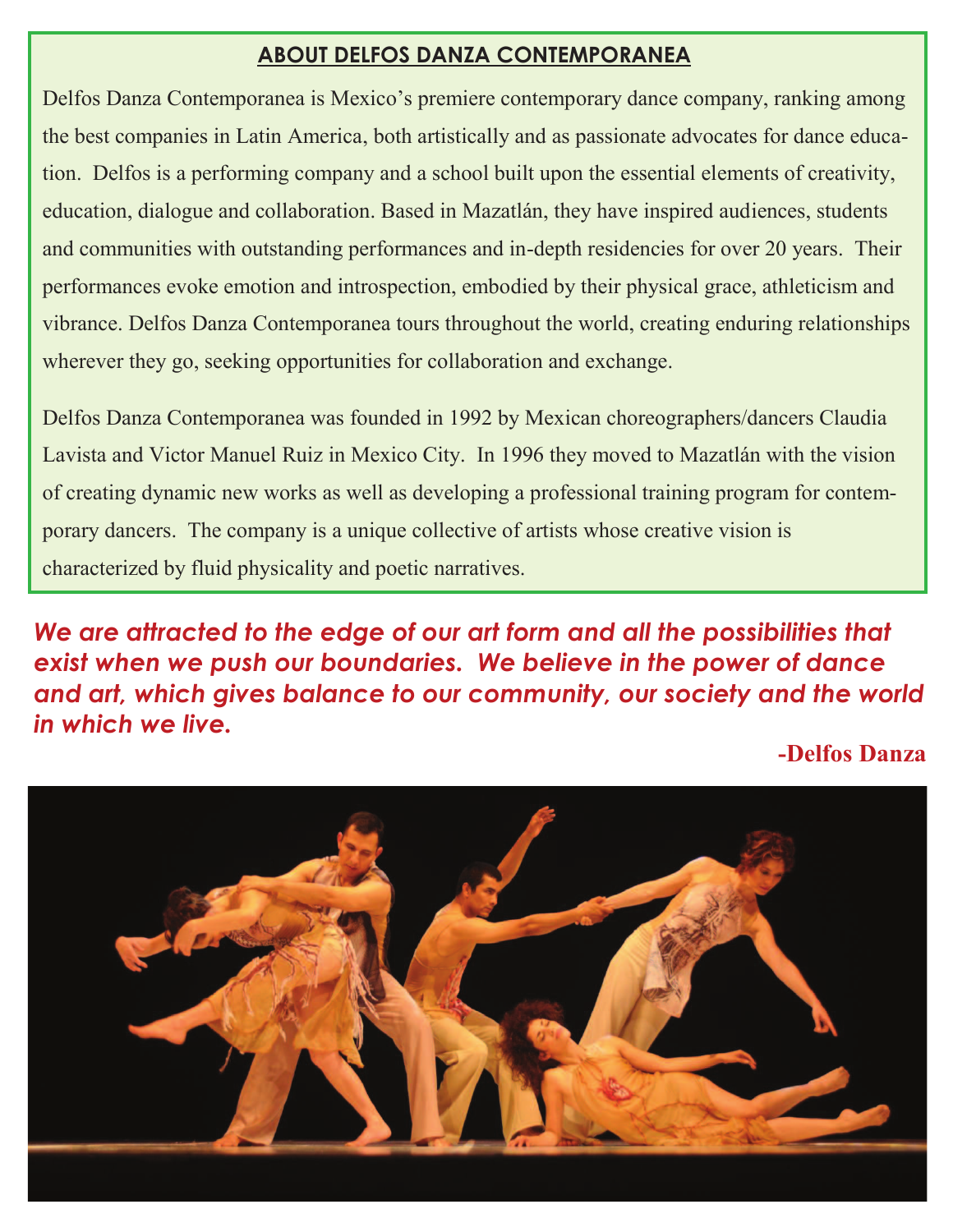### **ABOUT DELFOS DANZA CONTEMPORANEA**

Delfos Danza Contemporanea is Mexico's premiere contemporary dance company, ranking among the best companies in Latin America, both artistically and as passionate advocates for dance education. Delfos is a performing company and a school built upon the essential elements of creativity, education, dialogue and collaboration. Based in Mazatlán, they have inspired audiences, students and communities with outstanding performances and in-depth residencies for over 20 years. Their performances evoke emotion and introspection, embodied by their physical grace, athleticism and vibrance. Delfos Danza Contemporanea tours throughout the world, creating enduring relationships wherever they go, seeking opportunities for collaboration and exchange.

Delfos Danza Contemporanea was founded in 1992 by Mexican choreographers/dancers Claudia Lavista and Victor Manuel Ruiz in Mexico City. In 1996 they moved to Mazatlán with the vision of creating dynamic new works as well as developing a professional training program for contemporary dancers. The company is a unique collective of artists whose creative vision is characterized by fluid physicality and poetic narratives.

*We are attracted to the edge of our art form and all the possibilities that exist when we push our boundaries. We believe in the power of dance and art, which gives balance to our community, our society and the world in which we live.* 

**-Delfos Danza** 

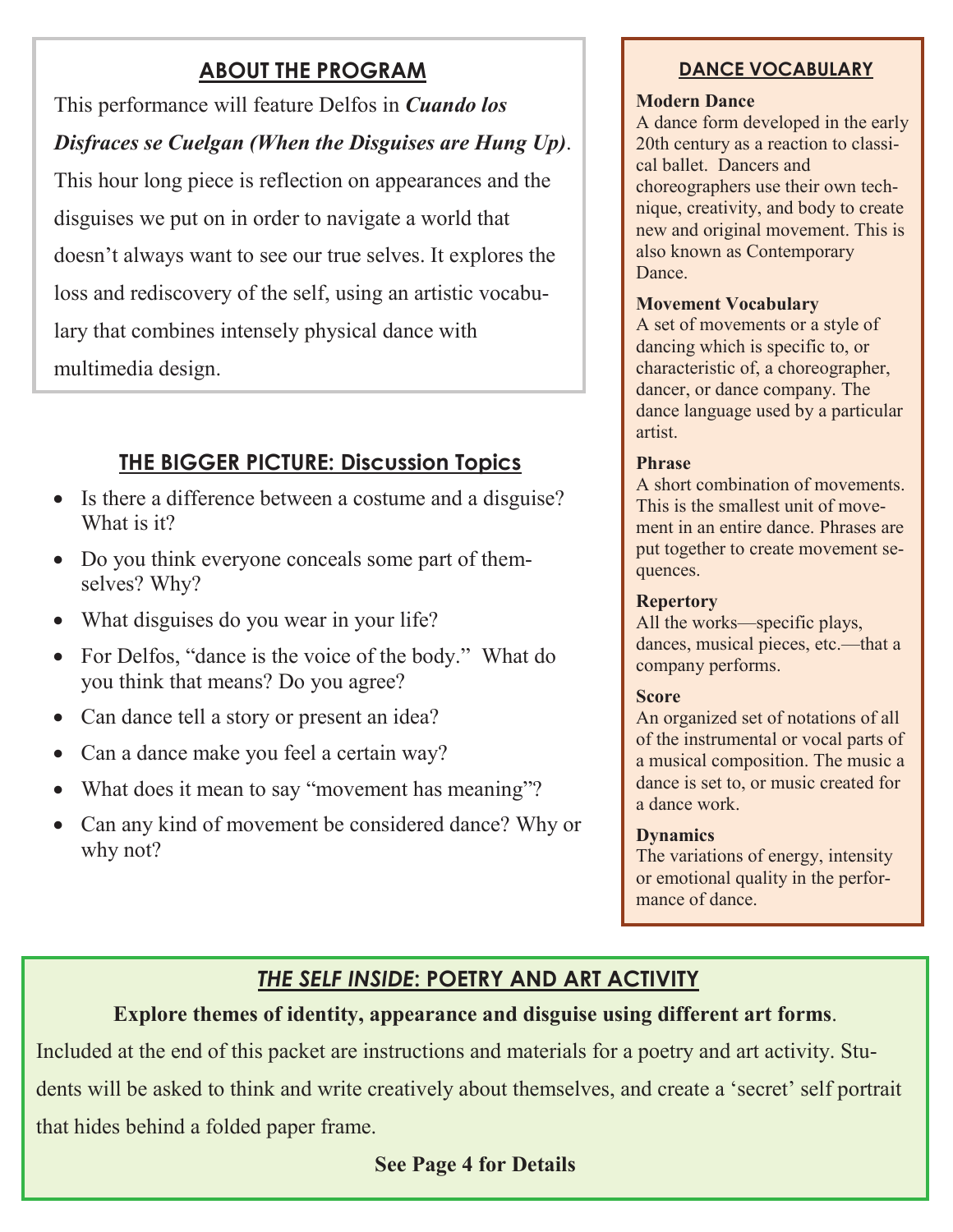### **ABOUT THE PROGRAM**

This performance will feature Delfos in *Cuando los Disfraces se Cuelgan (When the Disguises are Hung Up)*. This hour long piece is reflection on appearances and the disguises we put on in order to navigate a world that doesn't always want to see our true selves. It explores the loss and rediscovery of the self, using an artistic vocabulary that combines intensely physical dance with multimedia design.

### **THE BIGGER PICTURE: Discussion Topics**

- Is there a difference between a costume and a disguise? What is it?
- · Do you think everyone conceals some part of themselves? Why?
- What disguises do you wear in your life?
- For Delfos, "dance is the voice of the body." What do you think that means? Do you agree?
- Can dance tell a story or present an idea?
- Can a dance make you feel a certain way?
- What does it mean to say "movement has meaning"?
- Can any kind of movement be considered dance? Why or why not?

### **DANCE VOCABULARY**

#### **Modern Dance**

A dance form developed in the early 20th century as a reaction to classical ballet. Dancers and choreographers use their own technique, creativity, and body to create new and original movement. This is also known as Contemporary Dance<sub>.</sub>

#### **Movement Vocabulary**

A set of movements or a style of dancing which is specific to, or characteristic of, a choreographer, dancer, or dance company. The dance language used by a particular artist.

#### **Phrase**

A short combination of movements. This is the smallest unit of movement in an entire dance. Phrases are put together to create movement sequences.

#### **Repertory**

All the works—specific plays, dances, musical pieces, etc.—that a company performs.

#### **Score**

An organized set of notations of all of the instrumental or vocal parts of a musical composition. The music a dance is set to, or music created for a dance work.

#### **Dynamics**

The variations of energy, intensity or emotional quality in the performance of dance.

# *THE SELF INSIDE***: POETRY AND ART ACTIVITY**

### **Explore themes of identity, appearance and disguise using different art forms**.

Included at the end of this packet are instructions and materials for a poetry and art activity. Students will be asked to think and write creatively about themselves, and create a 'secret' self portrait that hides behind a folded paper frame.

**See Page 4 for Details**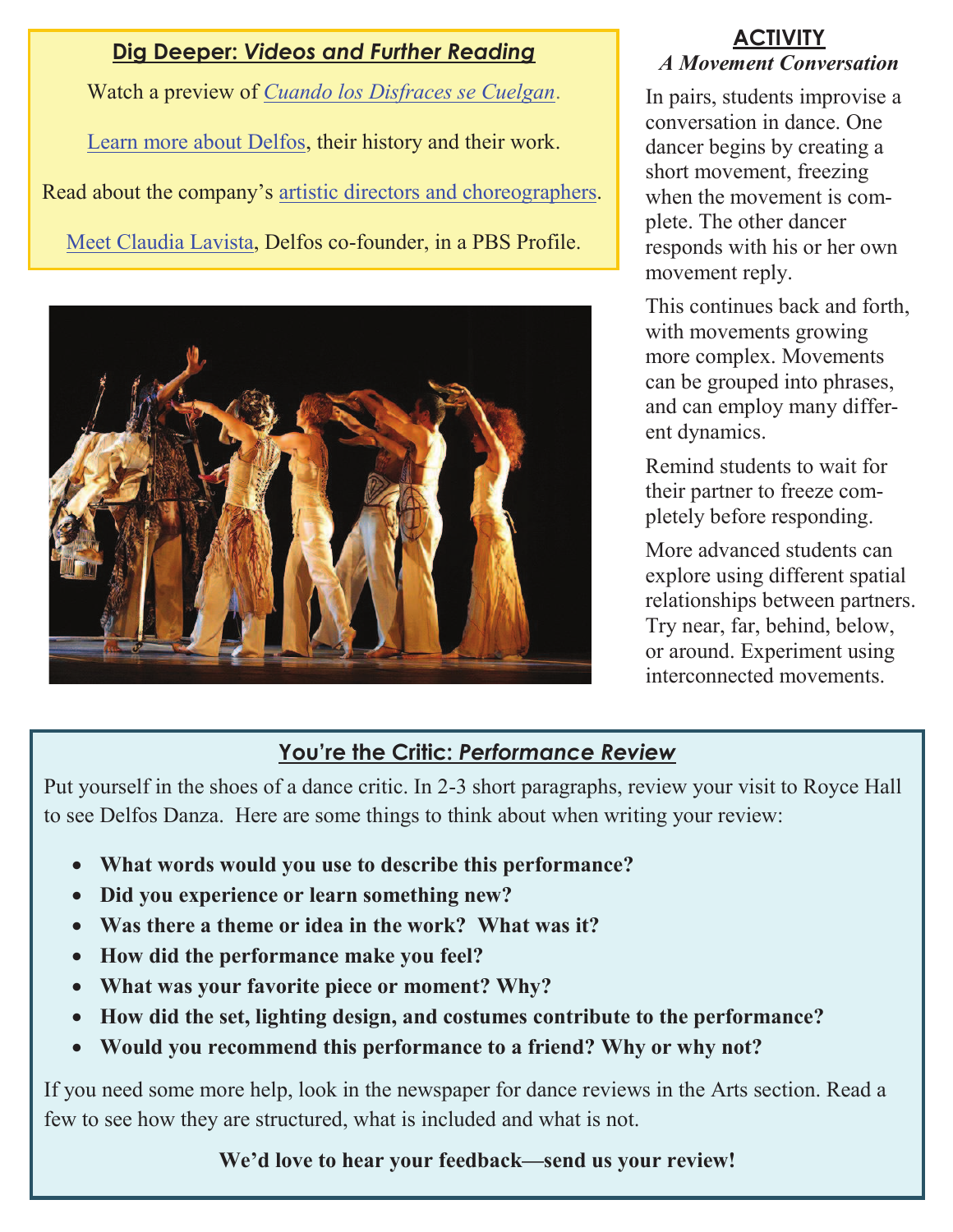### **Dig Deeper:** *Videos and Further Reading*

Watch a preview of *Cuando los Disfraces se Cuelgan*. Learn more about Delfos, their history and their work. Read about the company's artistic directors and choreographers. Meet Claudia Lavista, Delfos co-founder, in a PBS Profile.



### **ACTIVITY** *A Movement Conversation*

In pairs, students improvise a conversation in dance. One dancer begins by creating a short movement, freezing when the movement is complete. The other dancer responds with his or her own movement reply.

This continues back and forth, with movements growing more complex. Movements can be grouped into phrases, and can employ many different dynamics.

Remind students to wait for their partner to freeze completely before responding.

More advanced students can explore using different spatial relationships between partners. Try near, far, behind, below, or around. Experiment using interconnected movements.

# **You're the Critic:** *Performance Review*

Put yourself in the shoes of a dance critic. In 2-3 short paragraphs, review your visit to Royce Hall to see Delfos Danza. Here are some things to think about when writing your review:

- · **What words would you use to describe this performance?**
- · **Did you experience or learn something new?**
- · **Was there a theme or idea in the work? What was it?**
- · **How did the performance make you feel?**
- · **What was your favorite piece or moment? Why?**
- · **How did the set, lighting design, and costumes contribute to the performance?**
- · **Would you recommend this performance to a friend? Why or why not?**

If you need some more help, look in the newspaper for dance reviews in the Arts section. Read a few to see how they are structured, what is included and what is not.

# **We'd love to hear your feedback—send us your review!**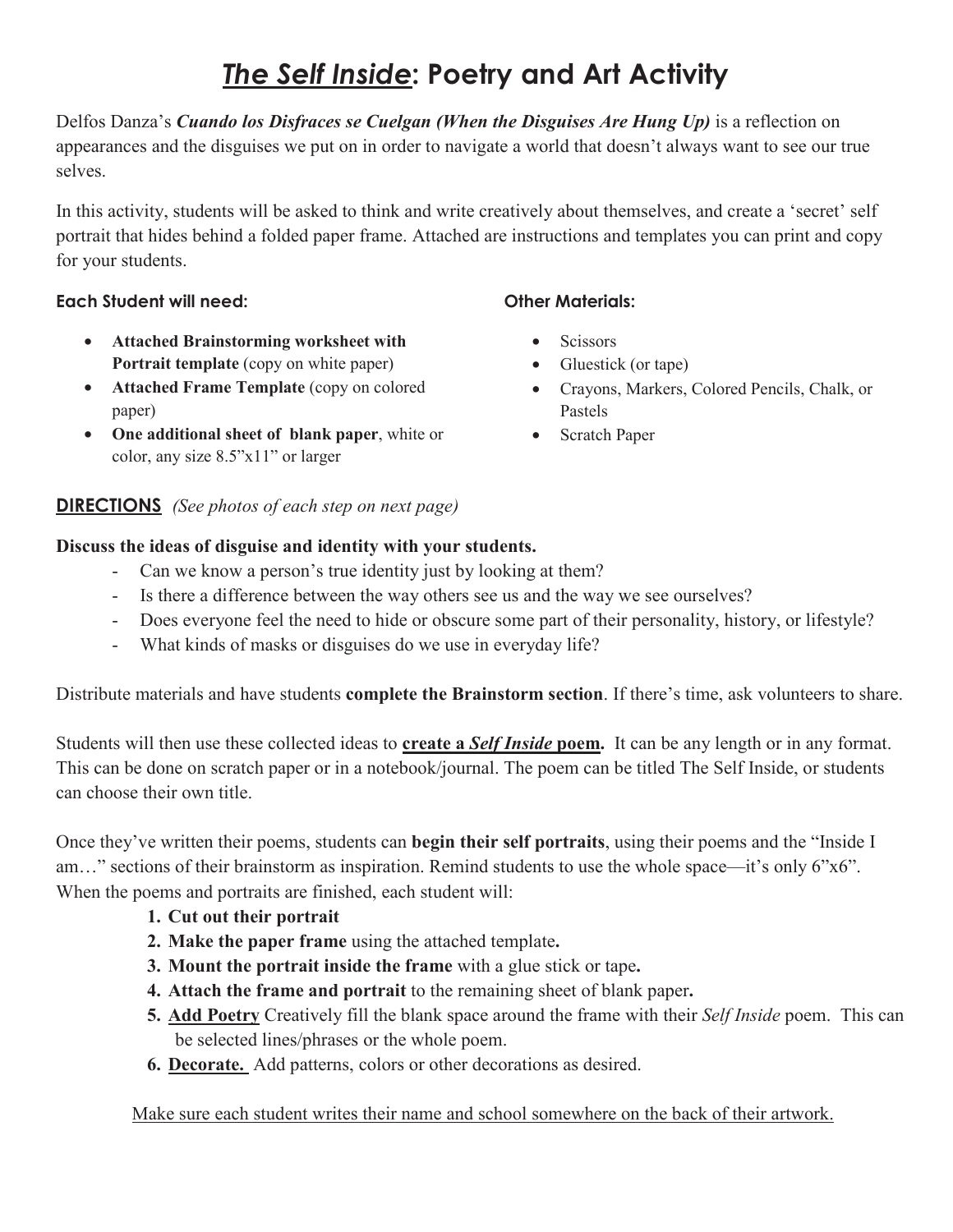# The Self Inside: Poetry and Art Activity

Delfos Danza's *Cuando los Disfraces se Cuelgan (When the Disguises Are Hung Up)* is a reflection on appearances and the disguises we put on in order to navigate a world that doesn't always want to see our true selves.

In this activity, students will be asked to think and write creatively about themselves, and create a 'secret' self portrait that hides behind a folded paper frame. Attached are instructions and templates you can print and copy for your students.

#### Each Student will need:

- **Attached Brainstorming worksheet with Portrait template** (copy on white paper)
- **Attached Frame Template** (copy on colored paper)
- **One additional sheet of blank paper**, white or color, any size 8.5"x11" or larger

### **--***(See photos of each step on next page)*

### **Discuss the ideas of disguise and identity with your students.**

- Can we know a person's true identity just by looking at them?
- Is there a difference between the way others see us and the way we see ourselves?
- Does everyone feel the need to hide or obscure some part of their personality, history, or lifestyle?
- What kinds of masks or disguises do we use in everyday life?

Distribute materials and have students **complete the Brainstorm section**. If there's time, ask volunteers to share.

Students will then use these collected ideas to **create a** *Self Inside* **poem.** It can be any length or in any format. This can be done on scratch paper or in a notebook/journal. The poem can be titled The Self Inside, or students can choose their own title.

Once they've written their poems, students can **begin their self portraits**, using their poems and the "Inside I am…" sections of their brainstorm as inspiration. Remind students to use the whole space—it's only 6"x6". When the poems and portraits are finished, each student will:

- **1. Cut out their portrait**
- **2. Make the paper frame** using the attached template**.**
- **3. Mount the portrait inside the frame** with a glue stick or tape**.**
- **4. Attach the frame and portrait** to the remaining sheet of blank paper**.**
- **5. Add Poetry** Creatively fill the blank space around the frame with their *Self Inside* poem. This can be selected lines/phrases or the whole poem.
- **6. Decorate.** Add patterns, colors or other decorations as desired.

Make sure each student writes their name and school somewhere on the back of their artwork.

### **Other Materials:**

- Scissors
- Gluestick (or tape)
- Crayons, Markers, Colored Pencils, Chalk, or Pastels
- Scratch Paper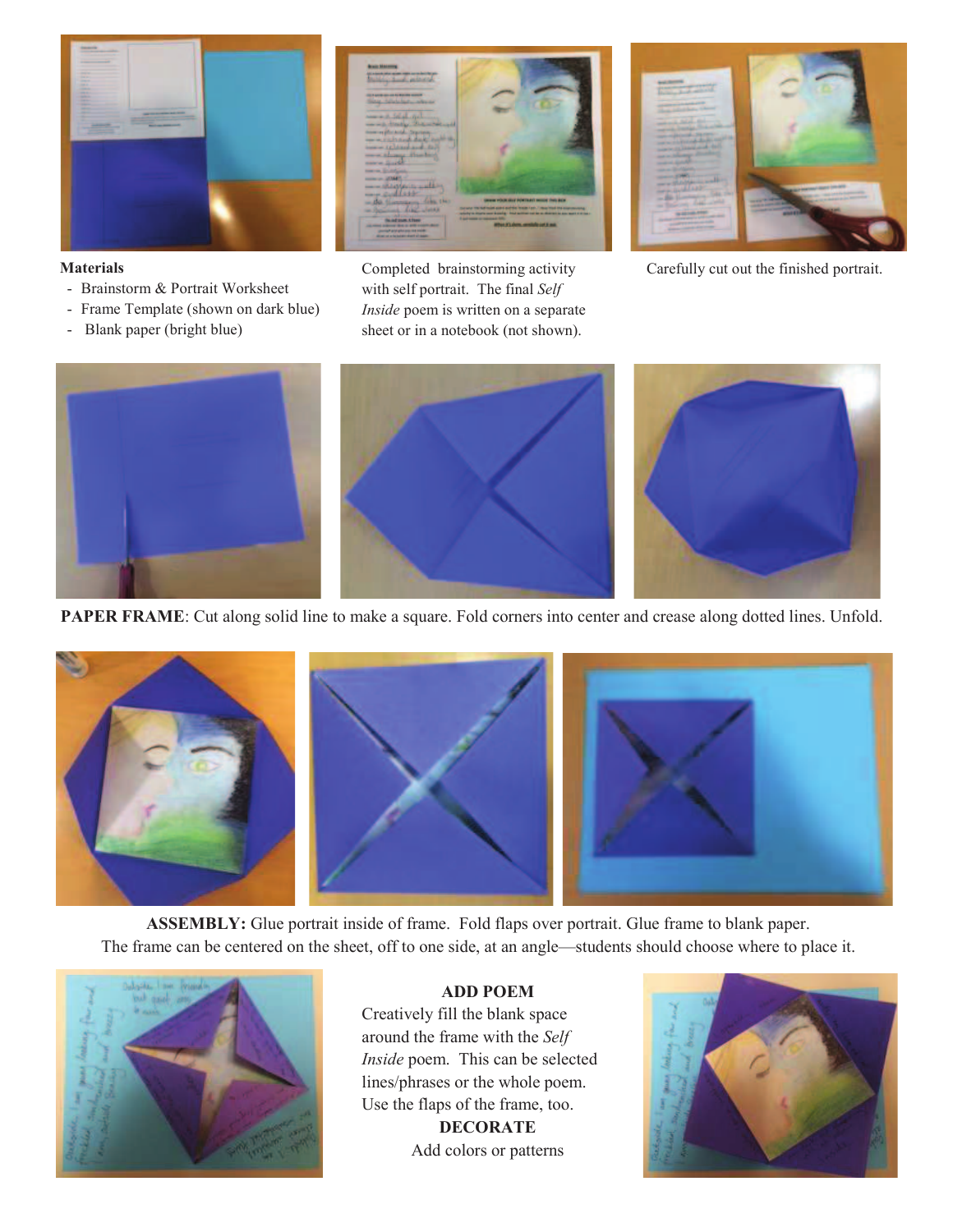

#### **Materials**

- Brainstorm & Portrait Worksheet
- Frame Template (shown on dark blue)
- Blank paper (bright blue)



Completed brainstorming activity with self portrait. The final *Self Inside* poem is written on a separate sheet or in a notebook (not shown).



Carefully cut out the finished portrait.



**PAPER FRAME**: Cut along solid line to make a square. Fold corners into center and crease along dotted lines. Unfold.



**ASSEMBLY:** Glue portrait inside of frame. Fold flaps over portrait. Glue frame to blank paper. The frame can be centered on the sheet, off to one side, at an angle—students should choose where to place it.



#### **ADD POEM**

Creatively fill the blank space around the frame with the *Self Inside* poem. This can be selected lines/phrases or the whole poem. Use the flaps of the frame, too. **DECORATE** 

Add colors or patterns

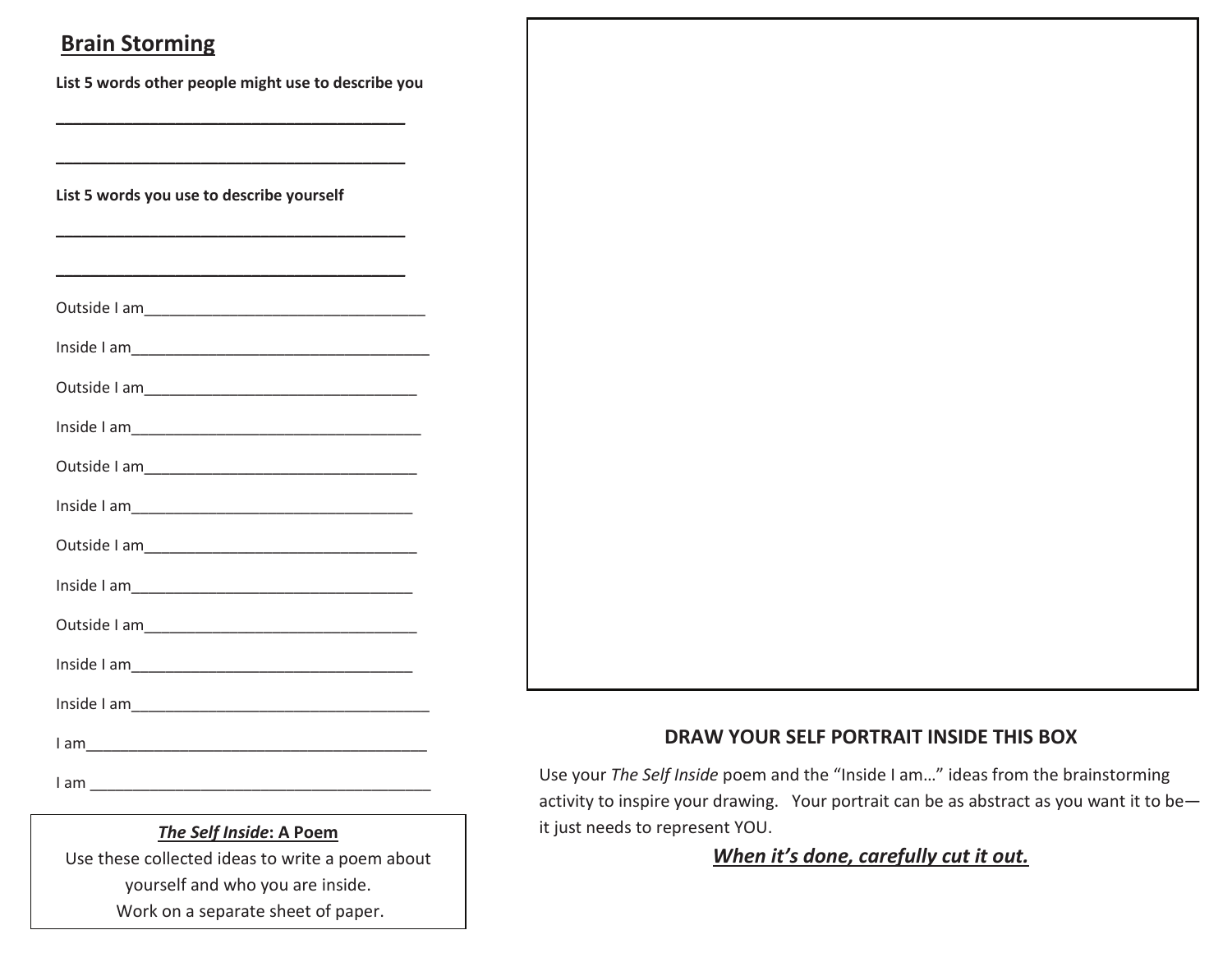### **Brain Storming**

List 5 words other people might use to describe you

List 5 words you use to describe yourself

### The Self Inside: A Poem

Use these collected ideas to write a poem about yourself and who you are inside. Work on a separate sheet of paper.

### DRAW YOUR SELF PORTRAIT INSIDE THIS BOX

Use your The Self Inside poem and the "Inside I am..." ideas from the brainstorming activity to inspire your drawing. Your portrait can be as abstract as you want it to beit just needs to represent YOU.

### When it's done, carefully cut it out.